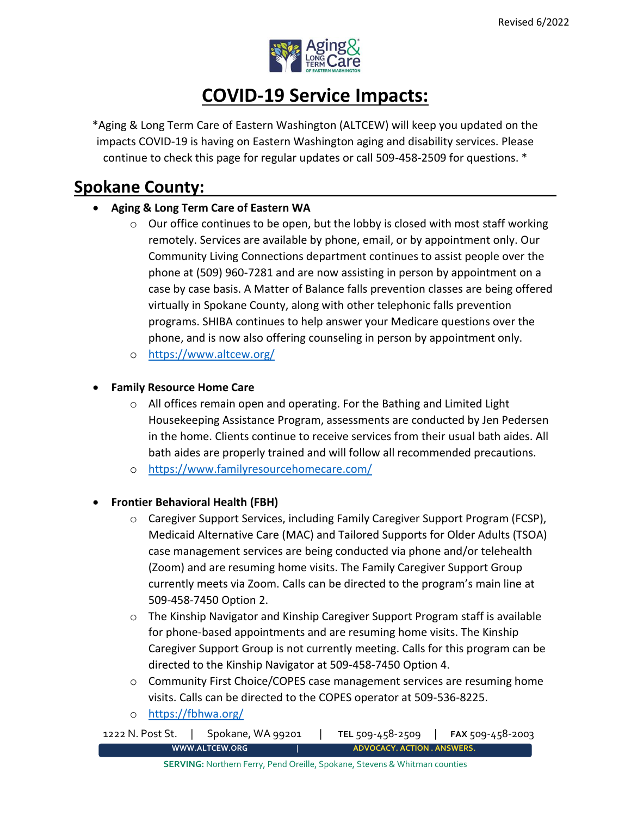

# **COVID-19 Service Impacts:**

\*Aging & Long Term Care of Eastern Washington (ALTCEW) will keep you updated on the impacts COVID-19 is having on Eastern Washington aging and disability services. Please continue to check this page for regular updates or call 509-458-2509 for questions. \*

## **Spokane County:**

### • **Aging & Long Term Care of Eastern WA**

- $\circ$  Our office continues to be open, but the lobby is closed with most staff working remotely. Services are available by phone, email, or by appointment only. Our Community Living Connections department continues to assist people over the phone at (509) 960-7281 and are now assisting in person by appointment on a case by case basis. A Matter of Balance falls prevention classes are being offered virtually in Spokane County, along with other telephonic falls prevention programs. SHIBA continues to help answer your Medicare questions over the phone, and is now also offering counseling in person by appointment only.
- o <https://www.altcew.org/>

#### • **Family Resource Home Care**

- $\circ$  All offices remain open and operating. For the Bathing and Limited Light Housekeeping Assistance Program, assessments are conducted by Jen Pedersen in the home. Clients continue to receive services from their usual bath aides. All bath aides are properly trained and will follow all recommended precautions.
- o <https://www.familyresourcehomecare.com/>

#### • **Frontier Behavioral Health (FBH)**

- $\circ$  Caregiver Support Services, including Family Caregiver Support Program (FCSP), Medicaid Alternative Care (MAC) and Tailored Supports for Older Adults (TSOA) case management services are being conducted via phone and/or telehealth (Zoom) and are resuming home visits. The Family Caregiver Support Group currently meets via Zoom. Calls can be directed to the program's main line at 509-458-7450 Option 2.
- o The Kinship Navigator and Kinship Caregiver Support Program staff is available for phone-based appointments and are resuming home visits. The Kinship Caregiver Support Group is not currently meeting. Calls for this program can be directed to the Kinship Navigator at 509-458-7450 Option 4.
- $\circ$  Community First Choice/COPES case management services are resuming home visits. Calls can be directed to the COPES operator at 509-536-8225.
- o <https://fbhwa.org/>

1222 N. Post St. | Spokane, WA 99201 | **TEL** 509-458-2509 | **FAX** 509-458-2003 **[WWW.ALTCEW.ORG](http://www.altcew.org/) | ADVOCACY. ACTION . ANSWERS.**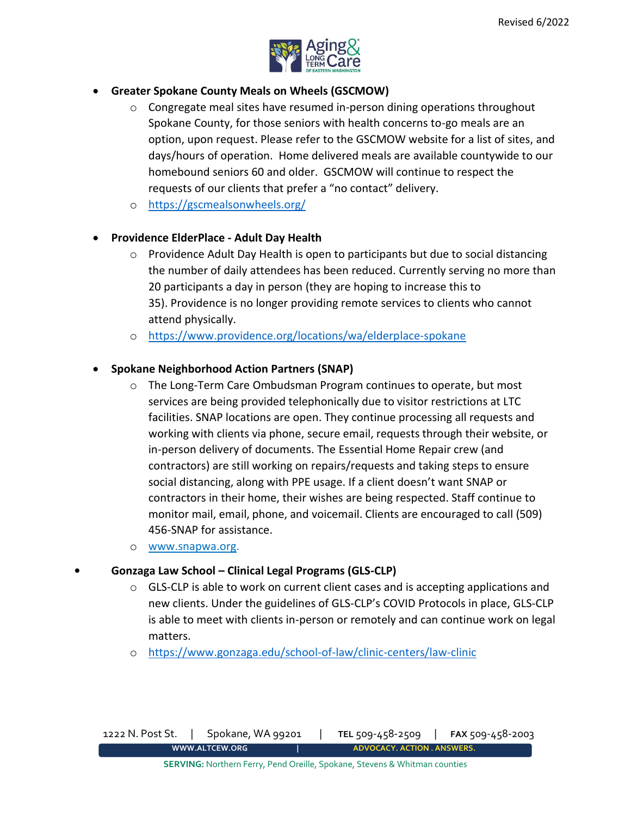

#### • **Greater Spokane County Meals on Wheels (GSCMOW)**

- $\circ$  Congregate meal sites have resumed in-person dining operations throughout Spokane County, for those seniors with health concerns to-go meals are an option, upon request. Please refer to the GSCMOW website for a list of sites, and days/hours of operation. Home delivered meals are available countywide to our homebound seniors 60 and older. GSCMOW will continue to respect the requests of our clients that prefer a "no contact" delivery.
- o <https://gscmealsonwheels.org/>

#### • **Providence ElderPlace - Adult Day Health**

- o Providence Adult Day Health is open to participants but due to social distancing the number of daily attendees has been reduced. Currently serving no more than 20 participants a day in person (they are hoping to increase this to 35). Providence is no longer providing remote services to clients who cannot attend physically.
- o <https://www.providence.org/locations/wa/elderplace-spokane>

#### • **Spokane Neighborhood Action Partners (SNAP)**

- $\circ$  The Long-Term Care Ombudsman Program continues to operate, but most services are being provided telephonically due to visitor restrictions at LTC facilities. SNAP locations are open. They continue processing all requests and working with clients via phone, secure email, requests through their website, or in-person delivery of documents. The Essential Home Repair crew (and contractors) are still working on repairs/requests and taking steps to ensure social distancing, along with PPE usage. If a client doesn't want SNAP or contractors in their home, their wishes are being respected. Staff continue to monitor mail, email, phone, and voicemail. Clients are encouraged to call (509) 456-SNAP for assistance.
- o [www.snapwa.org.](http://www.snapwa.org/)

#### **• Gonzaga Law School – Clinical Legal Programs (GLS-CLP)**

- $\circ$  GLS-CLP is able to work on current client cases and is accepting applications and new clients. Under the guidelines of GLS-CLP's COVID Protocols in place, GLS-CLP is able to meet with clients in-person or remotely and can continue work on legal matters.
- o <https://www.gonzaga.edu/school-of-law/clinic-centers/law-clinic>